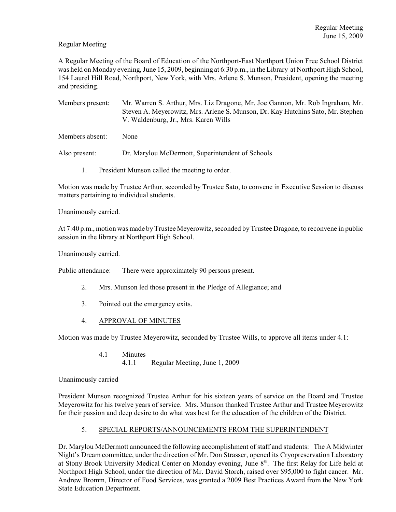# Regular Meeting

A Regular Meeting of the Board of Education of the Northport-East Northport Union Free School District was held on Monday evening, June 15, 2009, beginning at 6:30 p.m., in the Library at Northport High School, 154 Laurel Hill Road, Northport, New York, with Mrs. Arlene S. Munson, President, opening the meeting and presiding.

Members present: Mr. Warren S. Arthur, Mrs. Liz Dragone, Mr. Joe Gannon, Mr. Rob Ingraham, Mr. Steven A. Meyerowitz, Mrs. Arlene S. Munson, Dr. Kay Hutchins Sato, Mr. Stephen V. Waldenburg, Jr., Mrs. Karen Wills

Members absent: None

Also present: Dr. Marylou McDermott, Superintendent of Schools

1. President Munson called the meeting to order.

Motion was made by Trustee Arthur, seconded by Trustee Sato, to convene in Executive Session to discuss matters pertaining to individual students.

Unanimously carried.

At 7:40 p.m., motion was made byTrustee Meyerowitz, seconded by Trustee Dragone, to reconvene in public session in the library at Northport High School.

Unanimously carried.

Public attendance: There were approximately 90 persons present.

- 2. Mrs. Munson led those present in the Pledge of Allegiance; and
- 3. Pointed out the emergency exits.
- 4. APPROVAL OF MINUTES

Motion was made by Trustee Meyerowitz, seconded by Trustee Wills, to approve all items under 4.1:

4.1 Minutes 4.1.1 Regular Meeting, June 1, 2009

### Unanimously carried

President Munson recognized Trustee Arthur for his sixteen years of service on the Board and Trustee Meyerowitz for his twelve years of service. Mrs. Munson thanked Trustee Arthur and Trustee Meyerowitz for their passion and deep desire to do what was best for the education of the children of the District.

### 5. SPECIAL REPORTS/ANNOUNCEMENTS FROM THE SUPERINTENDENT

Dr. Marylou McDermott announced the following accomplishment of staff and students: The A Midwinter Night's Dream committee, under the direction of Mr. Don Strasser, opened its Cryopreservation Laboratory at Stony Brook University Medical Center on Monday evening, June 8<sup>th</sup>. The first Relay for Life held at Northport High School, under the direction of Mr. David Storch, raised over \$95,000 to fight cancer. Mr. Andrew Bromm, Director of Food Services, was granted a 2009 Best Practices Award from the New York State Education Department.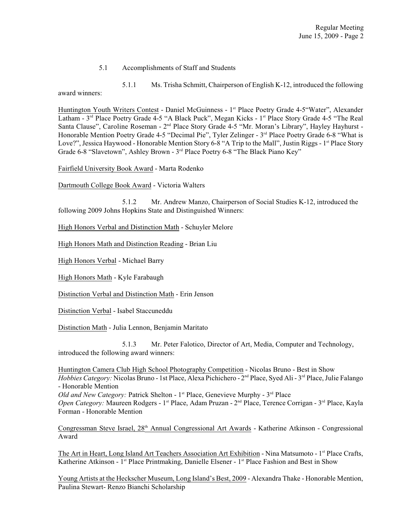#### 5.1 Accomplishments of Staff and Students

5.1.1 Ms. Trisha Schmitt, Chairperson of English K-12, introduced the following award winners:

Huntington Youth Writers Contest - Daniel McGuinness - 1<sup>st</sup> Place Poetry Grade 4-5"Water", Alexander Latham - 3<sup>rd</sup> Place Poetry Grade 4-5 "A Black Puck", Megan Kicks - 1<sup>st</sup> Place Story Grade 4-5 "The Real Santa Clause", Caroline Roseman - 2<sup>nd</sup> Place Story Grade 4-5 "Mr. Moran's Library", Hayley Hayhurst -Honorable Mention Poetry Grade 4-5 "Decimal Pie", Tyler Zelinger - 3<sup>rd</sup> Place Poetry Grade 6-8 "What is Love?", Jessica Haywood - Honorable Mention Story 6-8 "A Trip to the Mall", Justin Riggs - 1<sup>st</sup> Place Story Grade 6-8 "Slavetown", Ashley Brown - 3<sup>rd</sup> Place Poetry 6-8 "The Black Piano Key"

Fairfield University Book Award - Marta Rodenko

Dartmouth College Book Award - Victoria Walters

5.1.2 Mr. Andrew Manzo, Chairperson of Social Studies K-12, introduced the following 2009 Johns Hopkins State and Distinguished Winners:

High Honors Verbal and Distinction Math - Schuyler Melore

High Honors Math and Distinction Reading - Brian Liu

High Honors Verbal - Michael Barry

High Honors Math - Kyle Farabaugh

Distinction Verbal and Distinction Math - Erin Jenson

Distinction Verbal - Isabel Staccuneddu

Distinction Math - Julia Lennon, Benjamin Maritato

5.1.3 Mr. Peter Falotico, Director of Art, Media, Computer and Technology, introduced the following award winners:

Huntington Camera Club High School Photography Competition - Nicolas Bruno - Best in Show *Hobbies Category:* Nicolas Bruno - 1st Place, Alexa Pichichero - 2<sup>nd</sup> Place, Syed Ali - 3<sup>rd</sup> Place, Julie Falango - Honorable Mention

Old and New Category: Patrick Shelton - 1<sup>st</sup> Place, Genevieve Murphy - 3<sup>rd</sup> Place

*Open Category:* Maureen Rodgers - 1<sup>st</sup> Place, Adam Pruzan - 2<sup>nd</sup> Place, Terence Corrigan - 3<sup>rd</sup> Place, Kayla Forman - Honorable Mention

Congressman Steve Israel, 28<sup>th</sup> Annual Congressional Art Awards - Katherine Atkinson - Congressional Award

The Art in Heart, Long Island Art Teachers Association Art Exhibition - Nina Matsumoto - 1<sup>st</sup> Place Crafts, Katherine Atkinson - 1<sup>st</sup> Place Printmaking, Danielle Elsener - 1<sup>st</sup> Place Fashion and Best in Show

Young Artists at the Heckscher Museum, Long Island's Best, 2009 - Alexandra Thake - Honorable Mention, Paulina Stewart- Renzo Bianchi Scholarship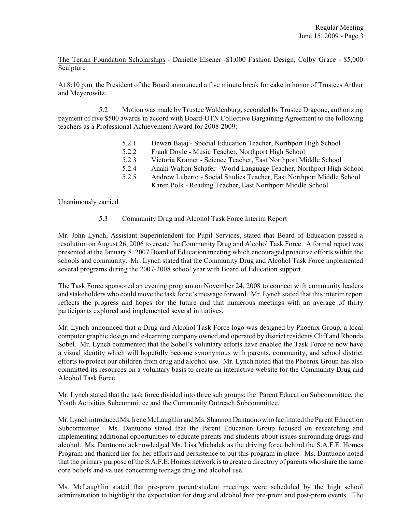The Terian Foundation Scholarships - Danielle Elsener -\$1,000 Fashion Design, Colby Grace - \$5,000 Sculpture

At 8:10 p.m. the President of the Board announced a five minute break for cake in honor of Trustees Arthur and Meyerowitz.

5.2 Motion was made by Trustee Waldenburg, seconded by Trustee Dragone, authorizing payment of five \$500 awards in accord with Board-UTN Collective Bargaining Agreement to the following teachers as a Professional Achievement Award for 2008-2009:

- 5.2.1 Dewan Bajaj Special Education Teacher, Northport High School
- 5.2.2 Frank Doyle Music Teacher, Northport High School
- 5.2.3 Victoria Kramer Science Teacher, East Northport Middle School
- 5.2.4 Anahi Walton-Schafer World Language Teacher, Northport High School
- 5.2.5 Andrew Luberto Social Studies Teacher, East Northport Middle School
	- Karen Polk Reading Teacher, East Northport Middle School

Unanimously carried.

5.3 Community Drug and Alcohol Task Force Interim Report

Mr. John Lynch, Assistant Superintendent for Pupil Services, stated that Board of Education passed a resolution on August 26, 2006 to create the Community Drug and Alcohol Task Force. A formal report was presented at the January 8, 2007 Board of Education meeting which encouraged proactive efforts within the schools and community. Mr. Lynch stated that the Community Drug and Alcohol Task Force implemented several programs during the 2007-2008 school year with Board of Education support.

The Task Force sponsored an evening program on November 24, 2008 to connect with community leaders and stakeholders who could move the task force's message forward. Mr. Lynch stated that this interim report reflects the progress and hopes for the future and that numerous meetings with an average of thirty participants explored and implemented several initiatives.

Mr. Lynch announced that a Drug and Alcohol Task Force logo was designed by Phoenix Group, a local computer graphic design and e-learning company owned and operated by district residents Cliff and Rhonda Sobel. Mr. Lynch commented that the Sobel's voluntary efforts have enabled the Task Force to now have a visual identity which will hopefully become synonymous with parents, community, and school district efforts to protect our children from drug and alcohol use. Mr. Lynch noted that the Phoenix Group has also committed its resources on a voluntary basis to create an interactive website for the Community Drug and Alcohol Task Force.

Mr. Lynch stated that the task force divided into three sub groups: the Parent Education Subcommittee, the Youth Activities Subcommittee and the Community Outreach Subcommittee.

Mr. Lynch introduced Ms. Irene McLaughlin and Ms. Shannon Dantuono who facilitated the Parent Education Subcommittee. Ms. Dantuono stated that the Parent Education Group focused on researching and implementing additional opportunities to educate parents and students about issues surrounding drugs and alcohol. Ms. Dantuono acknowledged Ms. Lisa Michalek as the driving force behind the S.A.F.E. Homes Program and thanked her for her efforts and persistence to put this program in place. Ms. Dantuono noted that the primary purpose of the S.A.F.E. Homes network is to create a directory of parents who share the same core beliefs and values concerning teenage drug and alcohol use.

Ms. McLaughlin stated that pre-prom parent/student meetings were scheduled by the high school administration to highlight the expectation for drug and alcohol free pre-prom and post-prom events. The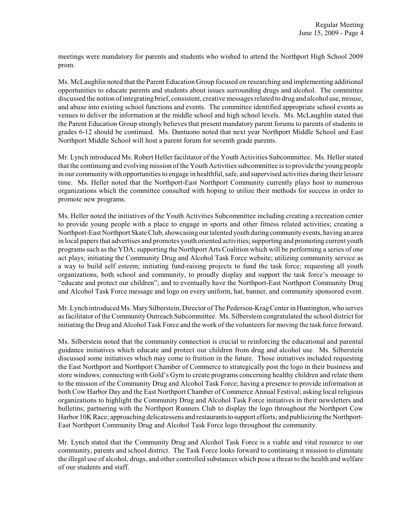meetings were mandatory for parents and students who wished to attend the Northport High School 2009 prom.

Ms. McLaughlin noted that the Parent Education Group focused on researching and implementing additional opportunities to educate parents and students about issues surrounding drugs and alcohol. The committee discussed the notion of integrating brief, consistent, creative messages related to drug and alcohol use, misuse, and abuse into existing school functions and events. The committee identified appropriate school events as venues to deliver the information at the middle school and high school levels. Ms. McLaughlin stated that the Parent Education Group strongly believes that present mandatory parent forums to parents of students in grades 6-12 should be continued. Ms. Dantuono noted that next year Northport Middle School and East Northport Middle School will host a parent forum for seventh grade parents.

Mr. Lynch introduced Ms. Robert Heller facilitator of the Youth Activities Subcommittee. Ms. Heller stated that the continuing and evolving mission ofthe Youth Activities subcommittee is to provide the young people in our community with opportunities to engage in healthful, safe, and supervised activities during their leisure time. Ms. Heller noted that the Northport-East Northport Community currently plays host to numerous organizations which the committee consulted with hoping to utilize their methods for success in order to promote new programs.

Ms. Heller noted the initiatives of the Youth Activities Subcommittee including creating a recreation center to provide young people with a place to engage in sports and other fitness related activities; creating a Northport-East Northport Skate Club, showcasing our talented youth during community events, having an area in local papers that advertises and promotes youth oriented activities; supporting and promoting current youth programs such as the YDA; supporting the Northport Arts Coalition which will be performing a series of one act plays; initiating the Community Drug and Alcohol Task Force website; utilizing community service as a way to build self esteem; initiating fund-raising projects to fund the task force; requesting all youth organizations, both school and community, to proudly display and support the task force's message to "educate and protect our children"; and to eventually have the Northport-East Northport Community Drug and Alcohol Task Force message and logo on every uniform, hat, banner, and community sponsored event.

Mr. Lynch introduced Ms. Mary Silberstein, Director of The Pederson-Krag Center in Huntington, who serves as facilitator of the Community Outreach Subcommittee. Ms. Silberstein congratulated the school district for initiating the Drug and Alcohol Task Force and the work of the volunteers for moving the task force forward.

Ms. Silberstein noted that the community connection is crucial to reinforcing the educational and parental guidance initiatives which educate and protect our children from drug and alcohol use. Ms. Silberstein discussed some initiatives which may come to fruition in the future. Those initiatives included requesting the East Northport and Northport Chamber of Commerce to strategically post the logo in their business and store windows; connecting with Gold's Gym to create programs concerning healthy children and relate them to the mission of the Community Drug and Alcohol Task Force; having a presence to provide information at both Cow Harbor Day and the East Northport Chamber of Commerce Annual Festival; asking local religious organizations to highlight the Community Drug and Alcohol Task Force initiatives in their newsletters and bulletins; partnering with the Northport Runners Club to display the logo throughout the Northport Cow Harbor 10K Race; approaching delicatessens and restaurants to support efforts; and publicizing the Northport-East Northport Community Drug and Alcohol Task Force logo throughout the community.

Mr. Lynch stated that the Community Drug and Alcohol Task Force is a viable and vital resource to our community, parents and school district. The Task Force looks forward to continuing it mission to eliminate the illegal use of alcohol, drugs, and other controlled substances which pose a threat to the health and welfare of our students and staff.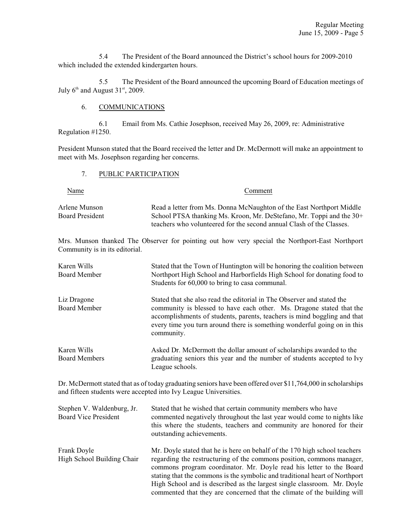5.4 The President of the Board announced the District's school hours for 2009-2010 which included the extended kindergarten hours.

5.5 The President of the Board announced the upcoming Board of Education meetings of July  $6<sup>th</sup>$  and August 31<sup>st</sup>, 2009.

### 6. COMMUNICATIONS

6.1 Email from Ms. Cathie Josephson, received May 26, 2009, re: Administrative Regulation #1250.

President Munson stated that the Board received the letter and Dr. McDermott will make an appointment to meet with Ms. Josephson regarding her concerns.

#### 7. PUBLIC PARTICIPATION

Name Comment

Arlene Munson Read a letter from Ms. Donna McNaughton of the East Northport Middle Board President School PTSA thanking Ms. Kroon, Mr. DeStefano, Mr. Toppi and the 30+ teachers who volunteered for the second annual Clash of the Classes.

Mrs. Munson thanked The Observer for pointing out how very special the Northport-East Northport Community is in its editorial.

| Karen Wills<br>Board Member         | Stated that the Town of Huntington will be honoring the coalition between<br>Northport High School and Harborfields High School for donating food to<br>Students for 60,000 to bring to casa communal.                                                                                                               |
|-------------------------------------|----------------------------------------------------------------------------------------------------------------------------------------------------------------------------------------------------------------------------------------------------------------------------------------------------------------------|
| Liz Dragone<br><b>Board Member</b>  | Stated that she also read the editorial in The Observer and stated the<br>community is blessed to have each other. Ms. Dragone stated that the<br>accomplishments of students, parents, teachers is mind boggling and that<br>every time you turn around there is something wonderful going on in this<br>community. |
| Karen Wills<br><b>Board Members</b> | Asked Dr. McDermott the dollar amount of scholarships awarded to the<br>graduating seniors this year and the number of students accepted to Ivy<br>League schools.                                                                                                                                                   |

Dr. McDermott stated that as of today graduating seniors have been offered over \$11,764,000 in scholarships and fifteen students were accepted into Ivy League Universities.

| Stephen V. Waldenburg, Jr.<br><b>Board Vice President</b> | Stated that he wished that certain community members who have<br>commented negatively throughout the last year would come to nights like<br>this where the students, teachers and community are honored for their<br>outstanding achievements.                                                                                                                                                                                                                  |
|-----------------------------------------------------------|-----------------------------------------------------------------------------------------------------------------------------------------------------------------------------------------------------------------------------------------------------------------------------------------------------------------------------------------------------------------------------------------------------------------------------------------------------------------|
| Frank Doyle<br>High School Building Chair                 | Mr. Doyle stated that he is here on behalf of the 170 high school teachers<br>regarding the restructuring of the commons position, commons manager,<br>commons program coordinator. Mr. Doyle read his letter to the Board<br>stating that the commons is the symbolic and traditional heart of Northport<br>High School and is described as the largest single classroom. Mr. Doyle<br>commented that they are concerned that the climate of the building will |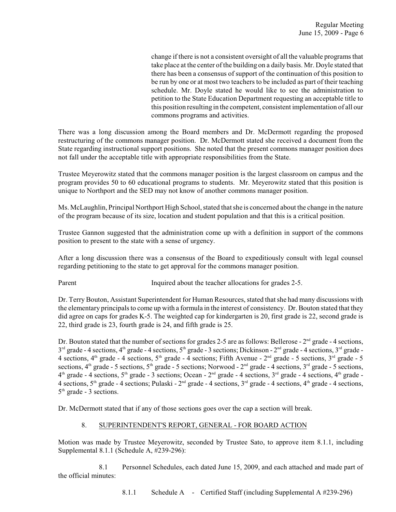change if there is not a consistent oversight of all the valuable programs that take place at the center of the building on a daily basis. Mr. Doyle stated that there has been a consensus of support of the continuation of this position to be run by one or at most two teachers to be included as part of their teaching schedule. Mr. Doyle stated he would like to see the administration to petition to the State Education Department requesting an acceptable title to this position resulting in the competent, consistent implementation of all our commons programs and activities.

There was a long discussion among the Board members and Dr. McDermott regarding the proposed restructuring of the commons manager position. Dr. McDermott stated she received a document from the State regarding instructional support positions. She noted that the present commons manager position does not fall under the acceptable title with appropriate responsibilities from the State.

Trustee Meyerowitz stated that the commons manager position is the largest classroom on campus and the program provides 50 to 60 educational programs to students. Mr. Meyerowitz stated that this position is unique to Northport and the SED may not know of another commons manager position.

Ms. McLaughlin, Principal Northport High School, stated that she is concerned about the change in the nature of the program because of its size, location and student population and that this is a critical position.

Trustee Gannon suggested that the administration come up with a definition in support of the commons position to present to the state with a sense of urgency.

After a long discussion there was a consensus of the Board to expeditiously consult with legal counsel regarding petitioning to the state to get approval for the commons manager position.

Parent Inquired about the teacher allocations for grades 2-5.

Dr. Terry Bouton, Assistant Superintendent for Human Resources, stated that she had many discussions with the elementary principals to come up with a formula in the interest of consistency. Dr. Bouton stated that they did agree on caps for grades K-5. The weighted cap for kindergarten is 20, first grade is 22, second grade is 22, third grade is 23, fourth grade is 24, and fifth grade is 25.

Dr. Bouton stated that the number of sections for grades 2-5 are as follows: Bellerose -  $2<sup>nd</sup>$  grade - 4 sections,  $3^{rd}$  grade - 4 sections, 4<sup>th</sup> grade - 4 sections, 5<sup>th</sup> grade - 3 sections; Dickinson - 2<sup>nd</sup> grade - 4 sections, 3<sup>rd</sup> grade -4 sections,  $4^{\text{th}}$  grade - 4 sections,  $5^{\text{th}}$  grade - 4 sections; Fifth Avenue -  $2^{\text{nd}}$  grade - 5 sections,  $3^{\text{rd}}$  grade - 5 sections,  $4<sup>th</sup>$  grade - 5 sections,  $5<sup>th</sup>$  grade - 5 sections; Norwood -  $2<sup>nd</sup>$  grade - 4 sections,  $3<sup>rd</sup>$  grade - 5 sections,  $4<sup>th</sup>$  grade - 4 sections,  $5<sup>th</sup>$  grade - 3 sections; Ocean -  $2<sup>nd</sup>$  grade - 4 sections,  $3<sup>rd</sup>$  grade - 4 sections,  $4<sup>th</sup>$  grade -4 sections,  $5<sup>th</sup>$  grade - 4 sections; Pulaski -  $2<sup>nd</sup>$  grade - 4 sections,  $3<sup>rd</sup>$  grade - 4 sections,  $4<sup>th</sup>$  grade - 4 sections,  $5<sup>th</sup>$  grade - 3 sections.

Dr. McDermott stated that if any of those sections goes over the cap a section will break.

### 8. SUPERINTENDENT'S REPORT, GENERAL - FOR BOARD ACTION

Motion was made by Trustee Meyerowitz, seconded by Trustee Sato, to approve item 8.1.1, including Supplemental 8.1.1 (Schedule A, #239-296):

8.1 Personnel Schedules, each dated June 15, 2009, and each attached and made part of the official minutes: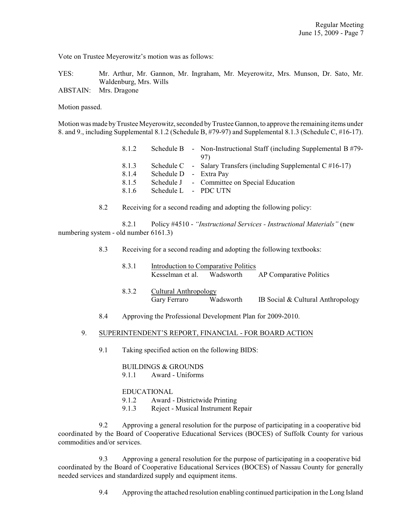Vote on Trustee Meyerowitz's motion was as follows:

YES: Mr. Arthur, Mr. Gannon, Mr. Ingraham, Mr. Meyerowitz, Mrs. Munson, Dr. Sato, Mr. Waldenburg, Mrs. Wills

ABSTAIN: Mrs. Dragone

Motion passed.

Motion was made by Trustee Meyerowitz, seconded by Trustee Gannon, to approve the remaining items under 8. and 9., including Supplemental 8.1.2 (Schedule B, #79-97) and Supplemental 8.1.3 (Schedule C, #16-17).

| 8.1.2                   |                        | Schedule B - Non-Instructional Staff (including Supplemental B $#79$ -<br>97)                                     |
|-------------------------|------------------------|-------------------------------------------------------------------------------------------------------------------|
| 8.1.3<br>8.1.4<br>8.1.5 | Schedule D - Extra Pay | Schedule C - Salary Transfers (including Supplemental C $#16-17$ )<br>Schedule J - Committee on Special Education |
| 8.1.6                   | Schedule L - PDC UTN   |                                                                                                                   |

8.2 Receiving for a second reading and adopting the following policy:

8.2.1 Policy #4510 - *"Instructional Services - Instructional Materials"* (new numbering system - old number 6161.3)

- 8.3 Receiving for a second reading and adopting the following textbooks:
	- 8.3.1 Introduction to Comparative Politics Kesselman et al. Wadsworth AP Comparative Politics
	- 8.3.2 Cultural Anthropology Gary Ferraro Wadsworth IB Social & Cultural Anthropology
- 8.4 Approving the Professional Development Plan for 2009-2010.

#### 9. SUPERINTENDENT'S REPORT, FINANCIAL - FOR BOARD ACTION

9.1 Taking specified action on the following BIDS:

BUILDINGS & GROUNDS 9.1.1 Award - Uniforms

### EDUCATIONAL

- 9.1.2 Award Districtwide Printing
- 9.1.3 Reject Musical Instrument Repair

9.2 Approving a general resolution for the purpose of participating in a cooperative bid coordinated by the Board of Cooperative Educational Services (BOCES) of Suffolk County for various commodities and/or services.

9.3 Approving a general resolution for the purpose of participating in a cooperative bid coordinated by the Board of Cooperative Educational Services (BOCES) of Nassau County for generally needed services and standardized supply and equipment items.

9.4 Approving the attached resolution enabling continued participation in the Long Island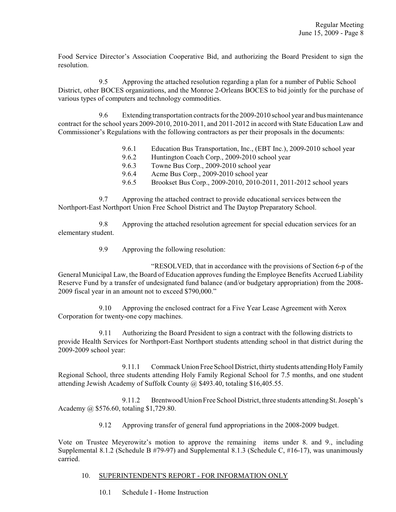Food Service Director's Association Cooperative Bid, and authorizing the Board President to sign the resolution.

9.5 Approving the attached resolution regarding a plan for a number of Public School District, other BOCES organizations, and the Monroe 2-Orleans BOCES to bid jointly for the purchase of various types of computers and technology commodities.

9.6 Extending transportation contracts for the 2009-2010 school year and bus maintenance contract for the school years 2009-2010, 2010-2011, and 2011-2012 in accord with State Education Law and Commissioner's Regulations with the following contractors as per their proposals in the documents:

- 9.6.1 Education Bus Transportation, Inc., (EBT Inc.), 2009-2010 school year
- 9.6.2 Huntington Coach Corp., 2009-2010 school year
- 9.6.3 Towne Bus Corp., 2009-2010 school year
- 9.6.4 Acme Bus Corp., 2009-2010 school year
- 9.6.5 Brookset Bus Corp., 2009-2010, 2010-2011, 2011-2012 school years

9.7 Approving the attached contract to provide educational services between the Northport-East Northport Union Free School District and The Daytop Preparatory School.

9.8 Approving the attached resolution agreement for special education services for an elementary student.

9.9 Approving the following resolution:

"RESOLVED, that in accordance with the provisions of Section 6-p of the General Municipal Law, the Board of Education approves funding the Employee Benefits Accrued Liability Reserve Fund by a transfer of undesignated fund balance (and/or budgetary appropriation) from the 2008- 2009 fiscal year in an amount not to exceed \$790,000."

9.10 Approving the enclosed contract for a Five Year Lease Agreement with Xerox Corporation for twenty-one copy machines.

9.11 Authorizing the Board President to sign a contract with the following districts to provide Health Services for Northport-East Northport students attending school in that district during the 2009-2009 school year:

9.11.1 Commack Union Free School District, thirty students attending Holy Family Regional School, three students attending Holy Family Regional School for 7.5 months, and one student attending Jewish Academy of Suffolk County @ \$493.40, totaling \$16,405.55.

9.11.2 Brentwood Union Free School District, three students attending St. Joseph's Academy @ \$576.60, totaling \$1,729.80.

9.12 Approving transfer of general fund appropriations in the 2008-2009 budget.

Vote on Trustee Meyerowitz's motion to approve the remaining items under 8. and 9., including Supplemental 8.1.2 (Schedule B #79-97) and Supplemental 8.1.3 (Schedule C, #16-17), was unanimously carried.

### 10. SUPERINTENDENT'S REPORT - FOR INFORMATION ONLY

10.1 Schedule I - Home Instruction